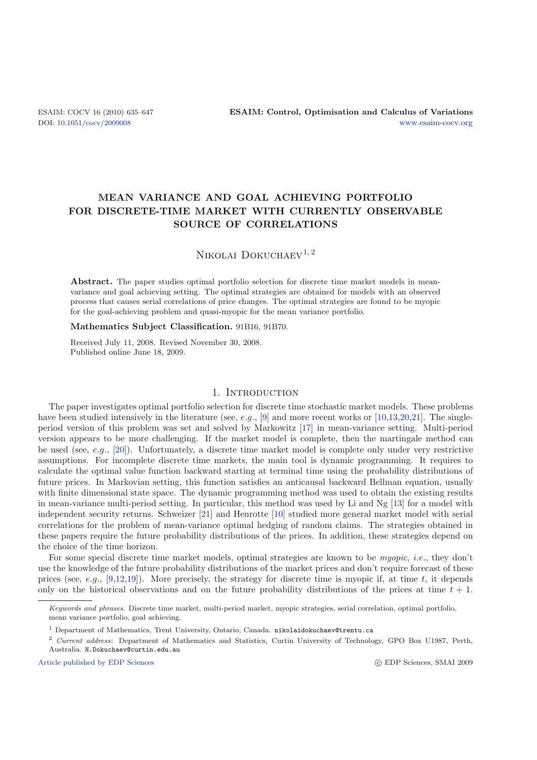# **MEAN VARIANCE AND GOAL ACHIEVING PORTFOLIO FOR DISCRETE-TIME MARKET WITH CURRENTLY OBSERVABLE SOURCE OF CORRELATIONS**

# NIKOLAI DOKUCHAEV<sup>1, 2</sup>

**Abstract.** The paper studies optimal portfolio selection for discrete time market models in meanvariance and goal achieving setting. The optimal strategies are obtained for models with an observed process that causes serial correlations of price changes. The optimal strategies are found to be myopic for the goal-achieving problem and quasi-myopic for the mean variance portfolio.

#### **Mathematics Subject Classification.** 91B16, 91B70.

Received July 11, 2008. Revised November 30, 2008. Published online June 18, 2009.

## 1. INTRODUCTION

The paper investigates optimal portfolio selection for discrete time stochastic market models. These problems have been studied intensively in the literature (see, e.g.,  $[9]$  and more recent works or [\[10](#page-12-1)[,13](#page-12-2)[,20](#page-12-3)[,21](#page-12-4)]. The singleperiod version of this problem was set and solved by Markowitz [\[17\]](#page-12-5) in mean-variance setting. Multi-period version appears to be more challenging. If the market model is complete, then the martingale method can be used (see, e.g., [\[20\]](#page-12-3)). Unfortunately, a discrete time market model is complete only under very restrictive assumptions. For incomplete discrete time markets, the main tool is dynamic programming. It requires to calculate the optimal value function backward starting at terminal time using the probability distributions of future prices. In Markovian setting, this function satisfies an anticausal backward Bellman equation, usually with finite dimensional state space. The dynamic programming method was used to obtain the existing results in mean-variance multi-period setting. In particular, this method was used by Li and Ng [\[13\]](#page-12-2) for a model with independent security returns. Schweizer [\[21](#page-12-4)] and Henrotte [\[10\]](#page-12-1) studied more general market model with serial correlations for the problem of mean-variance optimal hedging of random claims. The strategies obtained in these papers require the future probability distributions of the prices. In addition, these strategies depend on the choice of the time horizon.

For some special discrete time market models, optimal strategies are known to be *myopic*, i.e., they don't use the knowledge of the future probability distributions of the market prices and don't require forecast of these prices (see, e.g., [\[9](#page-12-0)[,12](#page-12-6)[,19\]](#page-12-7)). More precisely, the strategy for discrete time is myopic if, at time t, it depends only on the historical observations and on the future probability distributions of the prices at time  $t + 1$ .

[Article published by EDP Sciences](http://www.edpsciences.org)

Keywords and phrases. Discrete time market, multi-period market, myopic strategies, serial correlation, optimal portfolio, mean variance portfolio, goal achieving.

<sup>&</sup>lt;sup>1</sup> Department of Mathematics, Trent University, Ontario, Canada. nikolaidokuchaev@trentu.ca

<sup>2</sup> Current address: Department of Mathematics and Statistics, Curtin University of Technology, GPO Box U1987, Perth, Australia. N.Dokuchaev@curtin.edu.au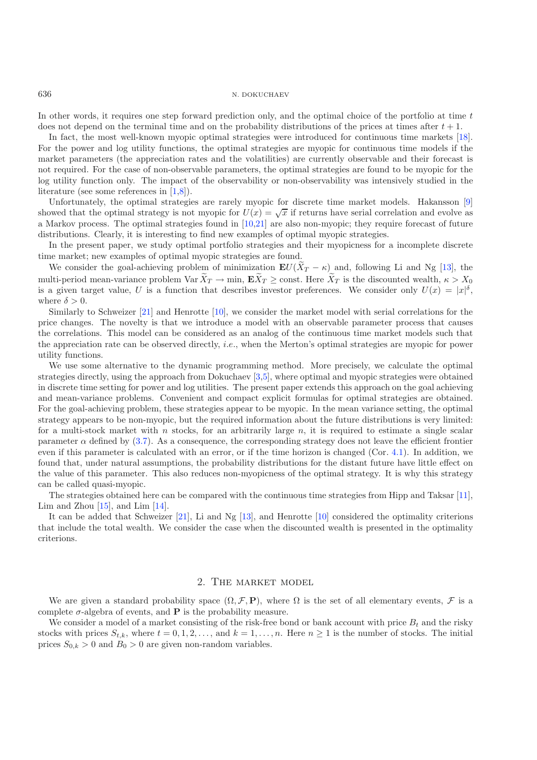In other words, it requires one step forward prediction only, and the optimal choice of the portfolio at time t does not depend on the terminal time and on the probability distributions of the prices at times after  $t + 1$ .

In fact, the most well-known myopic optimal strategies were introduced for continuous time markets [\[18\]](#page-12-8). For the power and log utility functions, the optimal strategies are myopic for continuous time models if the market parameters (the appreciation rates and the volatilities) are currently observable and their forecast is not required. For the case of non-observable parameters, the optimal strategies are found to be myopic for the log utility function only. The impact of the observability or non-observability was intensively studied in the literature (see some references in [\[1](#page-12-9)[,8\]](#page-12-10)).

Unfortunately, the optimal strategies are rarely myopic for discrete time market models. Hakansson [\[9](#page-12-0)] showed that the optimal strategy is not myopic for  $U(x) = \sqrt{x}$  if returns have serial correlation and evolve as a Markov process. The optimal strategies found in [\[10](#page-12-1)[,21](#page-12-4)] are also non-myopic; they require forecast of future distributions. Clearly, it is interesting to find new examples of optimal myopic strategies.

In the present paper, we study optimal portfolio strategies and their myopicness for a incomplete discrete time market; new examples of optimal myopic strategies are found.

We consider the goal-achieving problem of minimization  $\mathbf{E}U(X_T - \kappa)$  and, following Li and Ng [\[13](#page-12-2)], the literary method we use the discounted wealth  $\kappa > X$ multi-period mean-variance problem Var  $X_T \to \min$ ,  $\mathbf{E} X_T \ge \text{const.}$  Here  $X_T$  is the discounted wealth,  $\kappa > X_0$ <br>is a given target value II is a function that describes investor preferences. We consider only  $U(x) = |x|^\delta$ is a given target value, U is a function that describes investor preferences. We consider only  $U(x) = |x|^{\delta}$ , where  $\delta > 0$ .

Similarly to Schweizer [\[21](#page-12-4)] and Henrotte [\[10\]](#page-12-1), we consider the market model with serial correlations for the price changes. The novelty is that we introduce a model with an observable parameter process that causes the correlations. This model can be considered as an analog of the continuous time market models such that the appreciation rate can be observed directly, i.e., when the Merton's optimal strategies are myopic for power utility functions.

We use some alternative to the dynamic programming method. More precisely, we calculate the optimal strategies directly, using the approach from Dokuchaev [\[3](#page-12-11)[,5](#page-12-12)], where optimal and myopic strategies were obtained in discrete time setting for power and log utilities. The present paper extends this approach on the goal achieving and mean-variance problems. Convenient and compact explicit formulas for optimal strategies are obtained. For the goal-achieving problem, these strategies appear to be myopic. In the mean variance setting, the optimal strategy appears to be non-myopic, but the required information about the future distributions is very limited: for a multi-stock market with n stocks, for an arbitrarily large n, it is required to estimate a single scalar parameter  $\alpha$  defined by [\(3.7\)](#page-5-0). As a consequence, the corresponding strategy does not leave the efficient frontier even if this parameter is calculated with an error, or if the time horizon is changed (Cor. [4.1\)](#page-6-0). In addition, we found that, under natural assumptions, the probability distributions for the distant future have little effect on the value of this parameter. This also reduces non-myopicness of the optimal strategy. It is why this strategy can be called quasi-myopic.

The strategies obtained here can be compared with the continuous time strategies from Hipp and Taksar [\[11\]](#page-12-13), Lim and Zhou  $[15]$  $[15]$ , and Lim  $[14]$ .

It can be added that Schweizer [\[21\]](#page-12-4), Li and Ng [\[13](#page-12-2)], and Henrotte [\[10\]](#page-12-1) considered the optimality criterions that include the total wealth. We consider the case when the discounted wealth is presented in the optimality criterions.

## 2. The market model

We are given a standard probability space  $(\Omega, \mathcal{F}, P)$ , where  $\Omega$  is the set of all elementary events,  $\mathcal F$  is a complete  $\sigma$ -algebra of events, and **P** is the probability measure.

We consider a model of a market consisting of the risk-free bond or bank account with price  $B_t$  and the risky stocks with prices  $S_{t,k}$ , where  $t = 0, 1, 2, \ldots$ , and  $k = 1, \ldots, n$ . Here  $n \ge 1$  is the number of stocks. The initial prices  $S_{0,k} > 0$  and  $B_0 > 0$  are given non-random variables.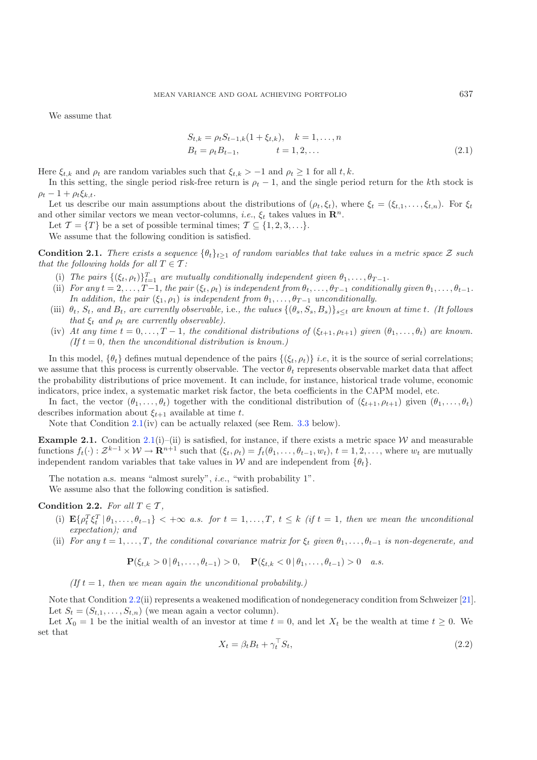We assume that

$$
S_{t,k} = \rho_t S_{t-1,k} (1 + \xi_{t,k}), \quad k = 1, ..., n
$$
  
\n
$$
B_t = \rho_t B_{t-1}, \qquad t = 1, 2, ...
$$
\n(2.1)

Here  $\xi_{t,k}$  and  $\rho_t$  are random variables such that  $\xi_{t,k} > -1$  and  $\rho_t \ge 1$  for all  $t, k$ .

In this setting, the single period risk-free return is  $\rho_t - 1$ , and the single period return for the kth stock is  $\rho_t - 1 + \rho_t \xi_{k,t}.$ 

Let us describe our main assumptions about the distributions of  $(\rho_t, \xi_t)$ , where  $\xi_t = (\xi_{t,1}, \ldots, \xi_{t,n})$ . For  $\xi_t$ and other similar vectors we mean vector-columns, *i.e.*,  $\xi_t$  takes values in  $\mathbb{R}^n$ .

Let  $\mathcal{T} = \{T\}$  be a set of possible terminal times;  $\mathcal{T} \subseteq \{1, 2, 3, \ldots\}$ .

We assume that the following condition is satisfied.

<span id="page-2-0"></span>**Condition 2.1.** *There exists a sequence*  $\{\theta_t\}_{t>1}$  *of random variables that take values in a metric space* Z *such that the following holds for all*  $T \in \mathcal{T}$ *:* 

- (i) The pairs  $\{(\xi_t, \rho_t)\}_{t=1}^T$  are mutually conditionally independent given  $\theta_1, \ldots, \theta_{T-1}$ .<br>ii) For any  $t=2$   $T-1$  the pair  $(\xi, \rho_t)$  is independent from  $\theta_t$   $\theta_T$ , conditional
- (ii) *For any*  $t = 2, \ldots, T-1$ *, the pair*  $(\xi_t, \rho_t)$  *is independent from*  $\theta_t, \ldots, \theta_{T-1}$  *conditionally given*  $\theta_1, \ldots, \theta_{t-1}$ *. In addition, the pair*  $(\xi_1, \rho_1)$  *is independent from*  $\theta_1, \ldots, \theta_{T-1}$  *unconditionally.*
- (iii)  $\theta_t$ ,  $S_t$ , and  $B_t$ , are currently observable, i.e., the values  $\{(\theta_s, S_s, B_s)\}_{s\leq t}$  are known at time t. (It follows *that*  $\xi_t$  *and*  $\rho_t$  *are currently observable*).
- (iv) At any time  $t = 0, \ldots, T-1$ , the conditional distributions of  $(\xi_{t+1}, \rho_{t+1})$  given  $(\theta_1, \ldots, \theta_t)$  are known. *(If*  $t = 0$ *, then the unconditional distribution is known.)*

In this model,  $\{\theta_t\}$  defines mutual dependence of the pairs  $\{\xi_t, \rho_t\}$  *i.e*, it is the source of serial correlations; we assume that this process is currently observable. The vector  $\theta_t$  represents observable market data that affect the probability distributions of price movement. It can include, for instance, historical trade volume, economic indicators, price index, a systematic market risk factor, the beta coefficients in the CAPM model, etc.

In fact, the vector  $(\theta_1,\ldots,\theta_t)$  together with the conditional distribution of  $(\xi_{t+1}, \rho_{t+1})$  given  $(\theta_1,\ldots,\theta_t)$ describes information about  $\xi_{t+1}$  available at time t.

Note that Condition [2.1\(](#page-2-0)iv) can be actually relaxed (see Rem. [3.3](#page-5-1) below).

**Example 2.1.** Condition [2.1\(](#page-2-0)i)–(ii) is satisfied, for instance, if there exists a metric space W and measurable functions  $f_t(\cdot): \mathcal{Z}^{k-1} \times \mathcal{W} \to \mathbf{R}^{n+1}$  such that  $(\xi_t, \rho_t) = f_t(\theta_1, \dots, \theta_{t-1}, w_t), t = 1, 2, \dots$ , where  $w_t$  are mutually independent random variables that take values in W and are independent from  $\{\theta_t\}$ .

The notation a.s. means "almost surely", *i.e.*, "with probability 1".

We assume also that the following condition is satisfied.

<span id="page-2-1"></span>**Condition 2.2.** *For all*  $T \in \mathcal{T}$ *,* 

- (i)  $\mathbf{E}\left\{ \rho_t^T \xi_t^T \mid \theta_1, \ldots, \theta_{t-1} \right\} < +\infty$  *a.s.* for  $t = 1, \ldots, T$ ,  $t \leq k$  (if  $t = 1$ , then we mean the unconditional *expectation); and*
- (ii) *For any*  $t = 1, \ldots, T$ *, the conditional covariance matrix for*  $\xi_t$  *given*  $\theta_1, \ldots, \theta_{t-1}$  *is non-degenerate, and*

$$
\mathbf{P}(\xi_{t,k} > 0 \,|\, \theta_1, \ldots, \theta_{t-1}) > 0, \quad \mathbf{P}(\xi_{t,k} < 0 \,|\, \theta_1, \ldots, \theta_{t-1}) > 0 \quad a.s.
$$

*(If*  $t = 1$ *, then we mean again the unconditional probability.)* 

Note that Condition [2.2\(](#page-2-1)ii) represents a weakened modification of nondegeneracy condition from Schweizer [\[21\]](#page-12-4). Let  $S_t = (S_{t,1}, \ldots, S_{t,n})$  (we mean again a vector column).

Let  $X_0 = 1$  be the initial wealth of an investor at time  $t = 0$ , and let  $X_t$  be the wealth at time  $t \geq 0$ . We set that

$$
X_t = \beta_t B_t + \gamma_t^{\top} S_t,
$$
\n(2.2)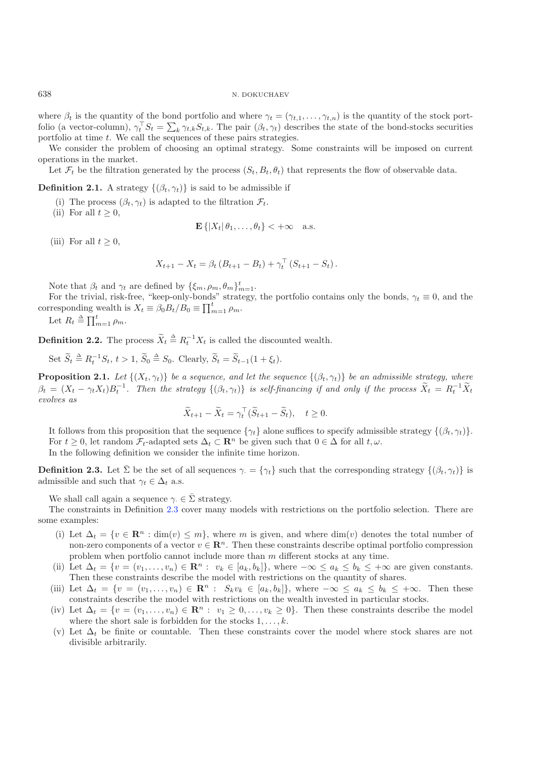where  $\beta_t$  is the quantity of the bond portfolio and where  $\gamma_t = (\gamma_{t,1}, \dots, \gamma_{t,n})$  is the quantity of the stock portfolio (a vector-column),  $\gamma_t^T S_t = \sum_k \gamma_{t,k} S_{t,k}$ . The pair  $(\beta_t, \gamma_t)$  describes the state of the bond-stocks securities partfolio at time t. We call the sequences of these pairs strategies portfolio at time t. We call the sequences of these pairs strategies.

We consider the problem of choosing an optimal strategy. Some constraints will be imposed on current operations in the market.

Let  $\mathcal{F}_t$  be the filtration generated by the process  $(S_t, B_t, \theta_t)$  that represents the flow of observable data.

**Definition 2.1.** A strategy  $\{(\beta_t, \gamma_t)\}\$ is said to be admissible if

- (i) The process  $(\beta_t, \gamma_t)$  is adapted to the filtration  $\mathcal{F}_t$ .
- (ii) For all  $t \geq 0$ ,

$$
\mathbf{E}\left\{ \left| X_t \right| \theta_1, \ldots, \theta_t \right\} < +\infty \quad \text{a.s.}
$$

(iii) For all  $t \geq 0$ ,

$$
X_{t+1} - X_t = \beta_t (B_{t+1} - B_t) + \gamma_t^{\top} (S_{t+1} - S_t).
$$

Note that  $\beta_t$  and  $\gamma_t$  are defined by  $\{\xi_m, \rho_m, \theta_m\}_{m=1}^t$ .<br>For the trivial risk-free "keep-only-bonds" strategy

For the trivial, risk-free, "keep-only-bonds" strategy, the portfolio contains only the bonds,  $\gamma_t \equiv 0$ , and the corresponding wealth is  $X_t \equiv \beta_0 B_t / B_0 \equiv \prod_{m=1}^t \rho_m$ .

Let 
$$
R_t \triangleq \prod_{m=1}^t \rho_m
$$
.

**Definition 2.2.** The process  $\widetilde{X}_t \triangleq R_t^{-1} X_t$  is called the discounted wealth.

Set  $\widetilde{S}_t \triangleq R_t^{-1} S_t$ ,  $t > 1$ ,  $\widetilde{S}_0 \triangleq S_0$ . Clearly,  $\widetilde{S}_t = \widetilde{S}_{t-1}(1 + \xi_t)$ .

<span id="page-3-1"></span>**Proposition 2.1.** *Let*  $\{(X_t, \gamma_t)\}\)$  *be a sequence, and let the sequence*  $\{(\beta_t, \gamma_t)\}\)$  *be an admissible strategy, where*  $\beta_t = (X_t - \gamma_t X_t) B_t^{-1}$ . Then the strategy  $\{(\beta_t, \gamma_t)\}\$ is self-financing if and only if the process  $\widetilde{X}_t = R_t^{-1} \widetilde{X}_t$ *evolves as*

$$
\widetilde{X}_{t+1} - \widetilde{X}_t = \gamma_t^\top (\widetilde{S}_{t+1} - \widetilde{S}_t), \quad t \ge 0.
$$

It follows from this proposition that the sequence  $\{\gamma_t\}$  alone suffices to specify admissible strategy  $\{(\beta_t, \gamma_t)\}.$ For  $t \geq 0$ , let random  $\mathcal{F}_t$ -adapted sets  $\Delta_t \subset \mathbb{R}^n$  be given such that  $0 \in \Delta$  for all  $t, \omega$ . In the following definition we consider the infinite time horizon.

<span id="page-3-0"></span>**Definition 2.3.** Let  $\bar{\Sigma}$  be the set of all sequences  $\gamma = {\gamma_t}$  such that the corresponding strategy  ${(\beta_t, \gamma_t)}$  is admissible and such that  $\gamma_t \in \Delta_t$  a.s.

We shall call again a sequence  $\gamma \in \overline{\Sigma}$  strategy.

The constraints in Definition [2.3](#page-3-0) cover many models with restrictions on the portfolio selection. There are some examples:

- (i) Let  $\Delta_t = \{v \in \mathbb{R}^n : \dim(v) \leq m\}$ , where m is given, and where  $\dim(v)$  denotes the total number of non-zero components of a vector  $v \in \mathbb{R}^n$ . Then these constraints describe optimal portfolio compression problem when portfolio cannot include more than m different stocks at any time.
- (ii) Let  $\Delta_t = \{v = (v_1, \ldots, v_n) \in \mathbb{R}^n : v_k \in [a_k, b_k]\},\$  where  $-\infty \le a_k \le b_k \le +\infty$  are given constants. Then these constraints describe the model with restrictions on the quantity of shares.
- (iii) Let  $\Delta_t = \{v = (v_1, \ldots, v_n) \in \mathbb{R}^n : S_k v_k \in [a_k, b_k]\},\$  where  $-\infty \le a_k \le b_k \le +\infty$ . Then these constraints describe the model with restrictions on the wealth invested in particular stocks.
- (iv) Let  $\Delta_t = \{v = (v_1, \ldots, v_n) \in \mathbb{R}^n : v_1 \geq 0, \ldots, v_k \geq 0\}$ . Then these constraints describe the model where the short sale is forbidden for the stocks  $1, \ldots, k$ .
- (v) Let  $\Delta_t$  be finite or countable. Then these constraints cover the model where stock shares are not divisible arbitrarily.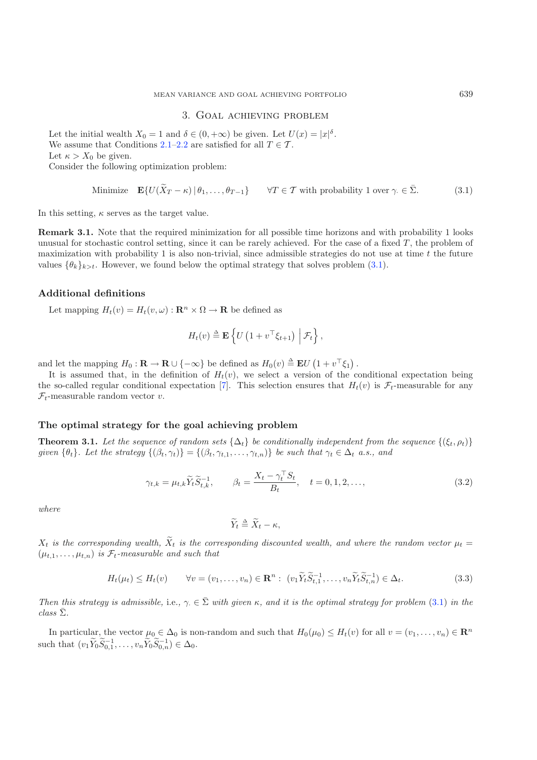#### 3. Goal achieving problem

<span id="page-4-0"></span>Let the initial wealth  $X_0 = 1$  and  $\delta \in (0, +\infty)$  be given. Let  $U(x) = |x|^{\delta}$ .<br>We assume that Conditions 2.1–2.2 are satisfied for all  $T \in \mathcal{T}$ We assume that Conditions [2.1](#page-2-0)[–2.2](#page-2-1) are satisfied for all  $T \in \mathcal{T}$ . Let  $\kappa > X_0$  be given. Consider the following optimization problem:

Minimize 
$$
\mathbf{E}\{U(\widetilde{X}_T - \kappa) | \theta_1, \dots, \theta_{T-1}\}\
$$
  $\forall T \in \mathcal{T}$  with probability 1 over  $\gamma \in \overline{\Sigma}$ . (3.1)

In this setting,  $\kappa$  serves as the target value.

**Remark 3.1.** Note that the required minimization for all possible time horizons and with probability 1 looks unusual for stochastic control setting, since it can be rarely achieved. For the case of a fixed  $T$ , the problem of maximization with probability 1 is also non-trivial, since admissible strategies do not use at time  $t$  the future values  $\{\theta_k\}_{k>t}$ . However, we found below the optimal strategy that solves problem [\(3.1\)](#page-4-0).

# **Additional definitions**

Let mapping  $H_t(v) = H_t(v, \omega) : \mathbb{R}^n \times \Omega \to \mathbb{R}$  be defined as

$$
H_t(v) \triangleq \mathbf{E} \left\{ U \left( 1 + v^\top \xi_{t+1} \right) \Big| \mathcal{F}_t \right\},\
$$

<span id="page-4-2"></span>and let the mapping  $H_0: \mathbf{R} \to \mathbf{R} \cup \{-\infty\}$  be defined as  $H_0(v) \triangleq \mathbf{E}U(1+v^{\top}\xi_1)$ .<br>It is assumed that in the definition of  $H_1(v)$ , we select a version of the

It is assumed that, in the definition of  $H_t(v)$ , we select a version of the conditional expectation being<br>a so-called regular conditional expectation [7]. This selection ensures that  $H_t(v)$  is  $\mathcal{F}_t$ -measurable for any the so-called regular conditional expectation [\[7\]](#page-12-16). This selection ensures that  $H_t(v)$  is  $\mathcal{F}_t$ -measurable for any  $\mathcal{F}_t$ -measurable random vector v.

# <span id="page-4-1"></span>**The optimal strategy for the goal achieving problem**

<span id="page-4-3"></span>**Theorem 3.1.** Let the sequence of random sets  $\{\Delta_t\}$  be conditionally independent from the sequence  $\{(\xi_t, \rho_t)\}$ *given*  $\{\theta_t\}$ *. Let the strategy*  $\{(\beta_t, \gamma_t)\} = \{(\beta_t, \gamma_{t,1}, \dots, \gamma_{t,n})\}$  *be such that*  $\gamma_t \in \Delta_t$  *a.s., and* 

$$
\gamma_{t,k} = \mu_{t,k} \widetilde{Y}_t \widetilde{S}_{t,k}^{-1}, \qquad \beta_t = \frac{X_t - \gamma_t^{\top} S_t}{B_t}, \quad t = 0, 1, 2, \dots,
$$
\n(3.2)

*where*

$$
\widetilde{Y}_t \triangleq \widetilde{X}_t - \kappa,
$$

 $X_t$  *is the corresponding wealth,*  $X_t$  *is the corresponding discounted wealth, and where the random vector*  $\mu_t =$  $(\mu_{t,1},\ldots,\mu_{t,n})$  *is*  $\mathcal{F}_t$ -measurable and such that

$$
H_t(\mu_t) \le H_t(v) \qquad \forall v = (v_1, \dots, v_n) \in \mathbf{R}^n: \ (v_1 \widetilde{Y}_t \widetilde{S}_{t,1}^{-1}, \dots, v_n \widetilde{Y}_t \widetilde{S}_{t,n}^{-1}) \in \Delta_t. \tag{3.3}
$$

*Then this strategy is admissible,* i.e.,  $\gamma \in \Sigma$  *with given*  $\kappa$ *, and it is the optimal strategy for problem* [\(3.1\)](#page-4-0) *in the*  $class \bar{\Sigma}$ *.* 

In particular, the vector  $\mu_0 \in \Delta_0$  is non-random and such that  $H_0(\mu_0) \leq H_t(v)$  for all  $v = (v_1, \ldots, v_n) \in \mathbb{R}^n$ such that  $(v_1 \tilde{Y}_0 \tilde{S}_{0,1}^{-1}, \ldots, v_n \tilde{Y}_0 \tilde{S}_{0,n}^{-1}) \in \Delta_0$ .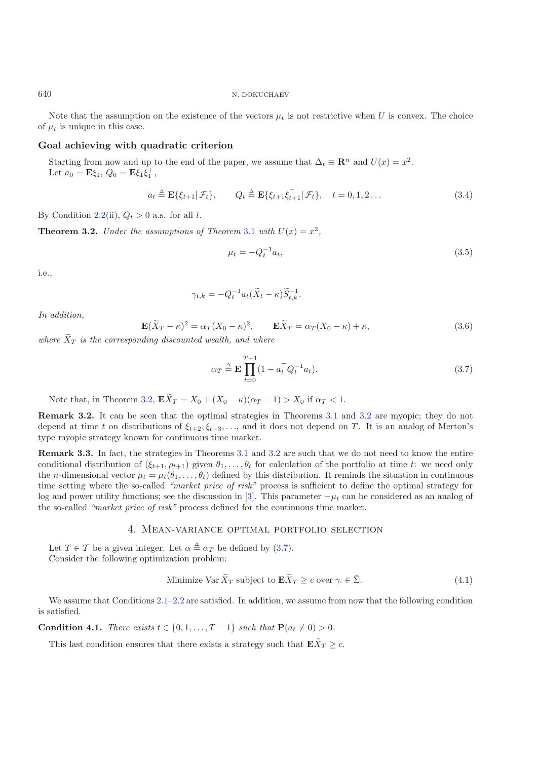## 640 N. DOKUCHAEV

Note that the assumption on the existence of the vectors  $\mu_t$  is not restrictive when U is convex. The choice of  $\mu_t$  is unique in this case.

# **Goal achieving with quadratic criterion**

<span id="page-5-6"></span>Starting from now and up to the end of the paper, we assume that  $\Delta_t \equiv \mathbb{R}^n$  and  $U(x) = x^2$ . Let  $a_0 = \mathbf{E}\xi_1, Q_0 = \mathbf{E}\xi_1\xi_1^{\dagger}$ ,

$$
a_t \triangleq \mathbf{E}\{\xi_{t+1}|\mathcal{F}_t\}, \qquad Q_t \triangleq \mathbf{E}\{\xi_{t+1}\xi_{t+1}^\top|\mathcal{F}_t\}, \quad t = 0, 1, 2 \dots \tag{3.4}
$$

<span id="page-5-5"></span><span id="page-5-2"></span>By Condition [2.2\(](#page-2-1)ii),  $Q_t > 0$  a.s. for all t.

**Theorem 3.2.** *Under the assumptions of Theorem [3.1](#page-4-1) with*  $U(x) = x^2$ ,

$$
\mu_t = -Q_t^{-1} a_t,\tag{3.5}
$$

i.e.*,*

$$
\gamma_{t,k} = -Q_t^{-1} a_t (\widetilde{X}_t - \kappa) \widetilde{S}_{t,k}^{-1}.
$$

*In addition,*

<span id="page-5-0"></span>
$$
\mathbf{E}(\widetilde{X}_T - \kappa)^2 = \alpha_T (X_0 - \kappa)^2, \qquad \mathbf{E}\widetilde{X}_T = \alpha_T (X_0 - \kappa) + \kappa,
$$
\n(3.6)

 $where X_T is the corresponding discounted wealth, and where$ 

$$
\alpha_T \triangleq \mathbf{E} \prod_{t=0}^{T-1} (1 - a_t^\top Q_t^{-1} a_t). \tag{3.7}
$$

Note that, in Theorem [3.2,](#page-5-2)  $\mathbf{E}X_T = X_0 + (X_0 - \kappa)(\alpha_T - 1) > X_0$  if  $\alpha_T < 1$ .

**Remark 3.2.** It can be seen that the optimal strategies in Theorems [3.1](#page-4-1) and [3.2](#page-5-2) are myopic; they do not depend at time t on distributions of  $\xi_{t+2}, \xi_{t+3}, \ldots$ , and it does not depend on T. It is an analog of Merton's type myopic strategy known for continuous time market.

<span id="page-5-1"></span>**Remark 3.3.** In fact, the strategies in Theorems [3.1](#page-4-1) and [3.2](#page-5-2) are such that we do not need to know the entire conditional distribution of  $(\xi_{t+1}, \rho_{t+1})$  given  $\theta_1, \ldots, \theta_t$  for calculation of the portfolio at time t: we need only the *n*-dimensional vector  $\mu_t = \mu_t(\theta_1,\ldots,\theta_t)$  defined by this distribution. It reminds the situation in continuous time setting where the so-called *"market price of risk"* process is sufficient to define the optimal strategy for log and power utility functions; see the discussion in [\[3](#page-12-11)]. This parameter  $-\mu_t$  can be considered as an analog of the so-called *"market price of risk"* process defined for the continuous time market.

# 4. Mean-variance optimal portfolio selection

<span id="page-5-3"></span>Let  $T \in \mathcal{T}$  be a given integer. Let  $\alpha \triangleq \alpha_T$  be defined by [\(3.7\)](#page-5-0).<br>Consider the following optimization problem: Consider the following optimization problem:

Minimize Var 
$$
\widetilde{X}_T
$$
 subject to  $\mathbf{E}\widetilde{X}_T \ge c$  over  $\gamma \in \overline{\Sigma}$ . (4.1)

<span id="page-5-7"></span>We assume that Conditions  $2.1-2.2$  $2.1-2.2$  are satisfied. In addition, we assume from now that the following condition is satisfied.

<span id="page-5-4"></span>**Condition 4.1.** *There exists*  $t \in \{0, 1, ..., T - 1\}$  *such that*  $P(a_t \neq 0) > 0$ *.* 

This last condition ensures that there exists a strategy such that  $\mathbf{E}\bar{X}_T \geq c$ .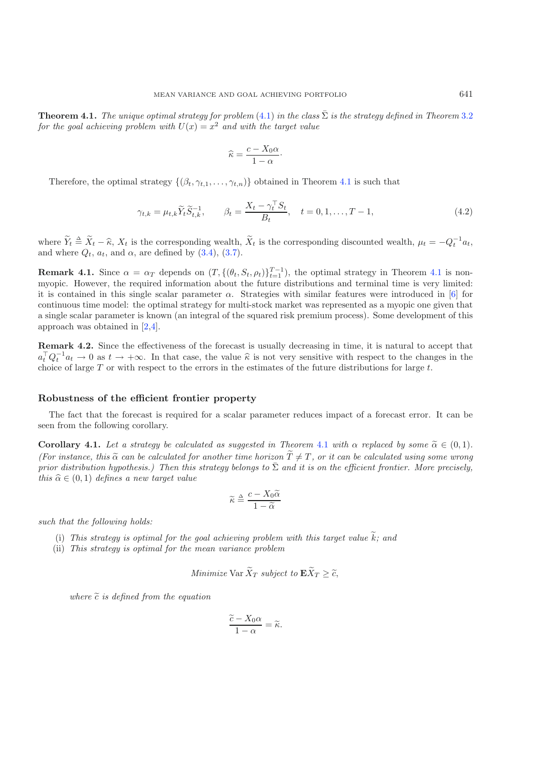**Theorem 4.1.** *The unique optimal strategy for problem* [\(4.1\)](#page-5-3) *in the class*  $\overline{\Sigma}$  *is the strategy defined in Theorem* [3.2](#page-5-2) *for the goal achieving problem with*  $U(x) = x^2$  *and with the target value* 

$$
\widehat{\kappa} = \frac{c - X_0 \alpha}{1 - \alpha}.
$$

Therefore, the optimal strategy  $\{(\beta_t, \gamma_{t,1}, \ldots, \gamma_{t,n})\}$  obtained in Theorem [4.1](#page-5-4) is such that

$$
\gamma_{t,k} = \mu_{t,k} \tilde{Y}_t \tilde{S}_{t,k}^{-1}, \qquad \beta_t = \frac{X_t - \gamma_t^{\top} S_t}{B_t}, \quad t = 0, 1, \dots, T - 1,
$$
\n(4.2)

where  $\widetilde{Y}_t \triangleq \widetilde{X}_t - \widehat{\kappa}, X_t$  is the corresponding wealth,  $\widetilde{X}_t$  is the corresponding discounted wealth,  $\mu_t = -Q_t^{-1}a_t$ , and where  $Q_t$ ,  $a_t$ , and  $\alpha$ , are defined by [\(3.4\)](#page-5-5), [\(3.7\)](#page-5-0).

<span id="page-6-1"></span>**Remark [4.1](#page-5-4).** Since  $\alpha = \alpha_T$  depends on  $(T, \{(\theta_t, S_t, \rho_t)\}_{t=1}^{T-1})$ , the optimal strategy in Theorem 4.1 is nonmyopic. However, the required information about the future distributions and terminal time is very limited: it is contained in this single scalar parameter  $\alpha$ . Strategies with similar features were introduced in [\[6\]](#page-12-17) for continuous time model: the optimal strategy for multi-stock market was represented as a myopic one given that a single scalar parameter is known (an integral of the squared risk premium process). Some development of this approach was obtained in [\[2](#page-12-18)[,4](#page-12-19)].

<span id="page-6-2"></span>**Remark 4.2.** Since the effectiveness of the forecast is usually decreasing in time, it is natural to accept that  $a_t^{\top} Q_t^{-1} a_t \to 0$  as  $t \to +\infty$ . In that case, the value  $\hat{\kappa}$  is not very sensitive with respect to the changes in the choice of large  $T$  or with respect to the errors in the estimates of the future distributions fo choice of large  $T$  or with respect to the errors in the estimates of the future distributions for large  $t$ .

#### **Robustness of the efficient frontier property**

<span id="page-6-0"></span>The fact that the forecast is required for a scalar parameter reduces impact of a forecast error. It can be seen from the following corollary.

**Corollary [4.1](#page-5-4).** *Let a strategy be calculated as suggested in Theorem 4.1 with*  $\alpha$  *replaced by some*  $\tilde{\alpha} \in (0,1)$ *.*<br>(Equipations this  $\tilde{\alpha}$  can be calculated for another time horizon  $\tilde{T} \neq T$  on it can be calc *(For instance, this*  $\tilde{\alpha}$  can be calculated for another time horizon  $T \neq T$ , or it can be calculated using some wrong<br>*prior distribution bypothesis*) Then this strategy belongs to  $\overline{\Sigma}$  and it is on the efficien *prior distribution hypothesis.) Then this strategy belongs to*  $\bar{\Sigma}$  *and it is on the efficient frontier. More precisely, this*  $\hat{\alpha} \in (0, 1)$  *defines a new target value* 

$$
\widetilde{\kappa} \triangleq \frac{c - X_0 \widetilde{\alpha}}{1 - \widetilde{\alpha}}
$$

*such that the following holds:*

- (i) This strategy is optimal for the goal achieving problem with this target value  $k$ ; and<br>*ii*) This strategy is optimal for the mean variance problem
- (ii) *This strategy is optimal for the mean variance problem*

Minimize Var 
$$
\widetilde{X}_T
$$
 subject to  $\mathbf{E}\widetilde{X}_T \geq \widetilde{c}$ ,

 $where \,\,\tilde{c}$  *is defined from the equation* 

$$
\frac{\widetilde{c} - X_0 \alpha}{1 - \alpha} = \widetilde{\kappa}.
$$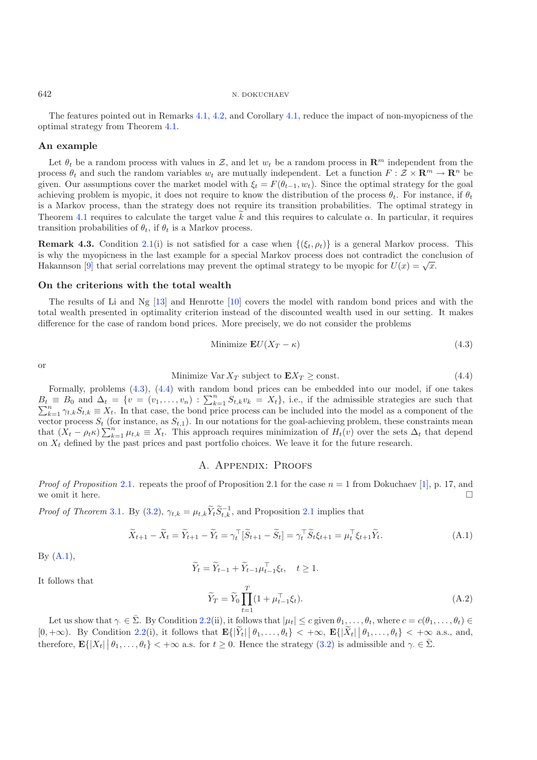# 642 N. DOKUCHAEV

The features pointed out in Remarks [4.1,](#page-6-1) [4.2,](#page-6-2) and Corollary [4.1,](#page-6-0) reduce the impact of non-myopicness of the optimal strategy from Theorem [4.1.](#page-5-4)

# **An example**

Let  $\theta_t$  be a random process with values in Z, and let  $w_t$  be a random process in  $\mathbb{R}^m$  independent from the process  $\theta_t$  and such the random variables  $w_t$  are mutually independent. Let a function  $F : \mathcal{Z} \times \mathbb{R}^m \to \mathbb{R}^n$  be given. Our assumptions cover the market model with  $\xi_t = F(\theta_{t-1}, w_t)$ . Since the optimal strategy for the goal achieving problem is myopic, it does not require to know the distribution of the process  $\theta_t$ . For instance, if  $\theta_t$ is a Markov process, than the strategy does not require its transition probabilities. The optimal strategy in Theorem [4.1](#page-5-4) requires to calculate the target value k and this requires to calculate  $\alpha$ . In particular, it requires transition probabilities of  $\theta$ , if  $\theta$ , is a Markov process transition probabilities of  $\theta_t$ , if  $\theta_t$  is a Markov process.

<span id="page-7-1"></span><span id="page-7-0"></span>**Remark 4.3.** Condition [2.1\(](#page-2-0)i) is not satisfied for a case when  $\{\xi_t, \rho_t\}$  is a general Markov process. This is why the myopicness in the last example for a special Markov process does not contradict the conclusion of Hakannson [\[9\]](#page-12-0) that serial correlations may prevent the optimal strategy to be myopic for  $U(x) = \sqrt{x}$ .

## **On the criterions with the total wealth**

The results of Li and Ng [\[13\]](#page-12-2) and Henrotte [\[10\]](#page-12-1) covers the model with random bond prices and with the total wealth presented in optimality criterion instead of the discounted wealth used in our setting. It makes difference for the case of random bond prices. More precisely, we do not consider the problems

Minimize 
$$
\mathbf{E}U(X_T - \kappa)
$$
 (4.3)

or

$$
Minimize Var X_T \text{ subject to } EX_T \ge \text{const.}
$$
\n(4.4)

<span id="page-7-2"></span>Minimize Var  $X_T$  subject to  $\mathbf{E}X_T \ge \text{const.}$  (4.4)<br>Formally, problems [\(4.3\)](#page-7-0), [\(4.4\)](#page-7-1) with random bond prices can be embedded into our model, if one takes  $B_t \equiv B_0$  and  $\Delta_t = \{v = (v_1, \ldots, v_n) : \sum_{k=1}^n S_{t,k}v_k = X_t\}$ , i.e., if the admissible strategies are such that  $\sum_{k=1}^n S_{t,k}v_k = X_t\}$ , i.e., if the admissible strategies are such that  $\sum_{k=1}^{n} \gamma_{t,k} S_{t,k} \equiv X_t$ . In that case, the bond price process can be included into the model as a component of the vector process  $S_t$ , (for instance, as  $S_{t+1}$ ). In our potations for the goal-achieving problem, the vector process  $S_t$  (for instance, as  $S_{t,1}$ ). In our notations for the goal-achieving problem, these constraints mean that  $(X_t - \rho_t \kappa) \sum_{k=1}^n \mu_{t,k} \equiv X_t$ . This approach requires minimization of  $H_t(v)$  over the sets  $\Delta_t$  that depend<br>on X, defined by the past prices and past portfolio choices. We leave it for the future research on  $X_t$  defined by the past prices and past portfolio choices. We leave it for the future research.

## <span id="page-7-3"></span>A. Appendix: Proofs

*Proof of Proposition* [2.1](#page-3-1). repeats the proof of Proposition 2.1 for the case  $n = 1$  from Dokuchaev [\[1](#page-12-9)], p. 17, and we omit it here.  $\Box$ 

*Proof of Theorem* [3.1](#page-4-1). By [\(3.2\)](#page-4-2),  $\gamma_{t,k} = \mu_{t,k} \widetilde{Y}_t \widetilde{S}_{t,k}^{-1}$ , and Proposition [2.1](#page-3-1) implies that

$$
\widetilde{X}_{t+1} - \widetilde{X}_t = \widetilde{Y}_{t+1} - \widetilde{Y}_t = \gamma_t^\top [\widetilde{S}_{t+1} - \widetilde{S}_t] = \gamma_t^\top \widetilde{S}_t \xi_{t+1} = \mu_t^\top \xi_{t+1} \widetilde{Y}_t.
$$
\n(A.1)

By  $(A.1)$ ,

$$
\widetilde{Y}_t = \widetilde{Y}_{t-1} + \widetilde{Y}_{t-1} \mu_{t-1}^\top \xi_t, \quad t \ge 1.
$$
\n
$$
\widetilde{Y}_T = \widetilde{Y}_0 \prod_{i=1}^T (1 + \mu_{t-1}^\top \xi_t) \tag{A.2}
$$

It follows that

$$
Y_T = Y_0 \prod_{t=1} (1 + \mu_{t-1}^{\perp} \xi_t). \tag{A.2}
$$
  

$$
\bar{\Sigma}.
$$
 By Condition 2.2(ii), it follows that  $|\mu_t| \le c$  given  $\theta_1, \dots, \theta_t$ , where  $c = c(\theta_1, \dots, \theta_t) \in$ 

Let us show that  $\gamma \in \bar{\Sigma}$ . By Condition [2.2\(](#page-2-1)ii), it follows that  $|\mu_t| \leq c$  given  $\theta_1, \ldots, \theta_t$ , where  $c = c(\theta_1, \ldots, \theta_t) \in$ [ $0, +\infty$ ). By Condition [2.2\(](#page-2-1)i), it follows that  $\mathbf{E}\{|\widetilde{Y}_t|\ |\theta_1,\ldots,\theta_t\} < +\infty$ ,  $\mathbf{E}\{|\widetilde{X}_t|\ |\theta_1,\ldots,\theta_t\} < +\infty$  a.s., and, therefore  $\mathbf{E}\{|\mathbf{Y}_t|\ |\theta_1,\ldots,\theta_t\}$ therefore,  $\mathbf{E} \{ |X_t| \mid \theta_1, \ldots, \theta_t \} < +\infty$  a.s. for  $t \geq 0$ . Hence the strategy [\(3.2\)](#page-4-2) is admissible and  $\gamma \in \bar{\Sigma}$ .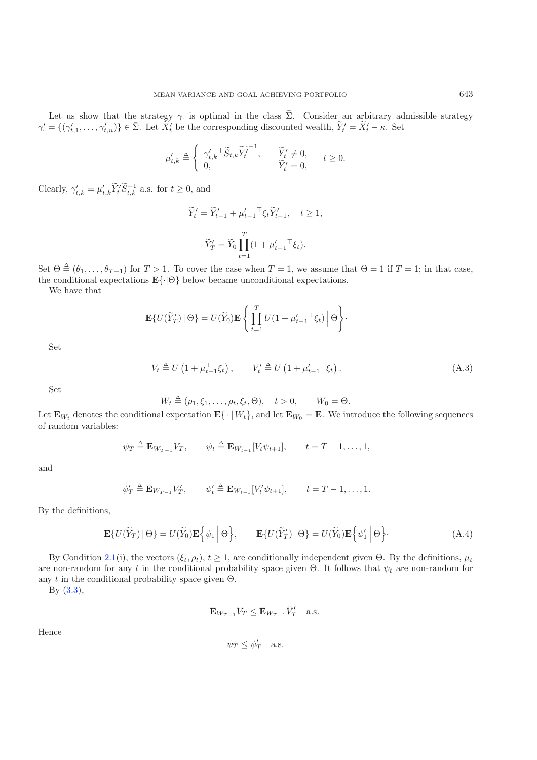Let us show that the strategy  $\gamma$  is optimal in the class  $\bar{\Sigma}$ . Consider an arbitrary admissible strategy  $-\frac{f(\alpha')}{\gamma}$  of  $\bar{\Sigma}$  Let  $\tilde{Y}'$  be the corresponding discounted wealth  $\tilde{Y}' - \tilde{Y}'$  is Set  $\gamma' = \{(\gamma'_{t,1}, \ldots, \gamma'_{t,n})\} \in \bar{\Sigma}$ . Let  $\widetilde{X}'_t$  be the corresponding discounted wealth,  $\widetilde{Y}'_t = \widetilde{X}'_t - \kappa$ . Set

$$
\mu'_{t,k} \triangleq \begin{cases} \gamma'_{t,k} \tilde{\mathbf{S}}_{t,k} \widetilde{Y_t'}^{-1}, & \widetilde{Y_t'} \neq 0, \\ 0, & \widetilde{Y_t'} = 0, \end{cases} \quad t \ge 0.
$$

Clearly,  $\gamma'_{t,k} = \mu'_{t,k} \widetilde{Y}_t' \widetilde{S}_{t,k}^{-1}$  a.s. for  $t \geq 0$ , and

$$
\widetilde{Y}'_t = \widetilde{Y}'_{t-1} + \mu'_{t-1}^\top \xi_t \widetilde{Y}'_{t-1}, \quad t \ge 1,
$$
\n
$$
\widetilde{Y}'_T = \widetilde{Y}_0 \prod_{t=1}^T (1 + \mu'_{t-1}^\top \xi_t).
$$

Set  $\Theta \triangleq (\theta_1, \dots, \theta_{T-1})$  for  $T > 1$ . To cover the case when  $T = 1$ , we assume that  $\Theta = 1$  if  $T = 1$ ; in that case, the conditional expectations **E**{·|Θ} below became unconditional expectations.

We have that

$$
\mathbf{E}\{U(\widetilde{Y}'_T) | \Theta\} = U(\widetilde{Y}_0)\mathbf{E}\left\{\prod_{t=1}^T U(1 + \mu'_{t-1} \top \xi_t) | \Theta\right\}.
$$

Set

$$
V_t \stackrel{\Delta}{=} U\left(1 + \mu_{t-1}^\top \xi_t\right), \qquad V_t' \stackrel{\Delta}{=} U\left(1 + \mu_{t-1}'^\top \xi_t\right). \tag{A.3}
$$

Set

$$
W_t \triangleq (\rho_1, \xi_1, \dots, \rho_t, \xi_t, \Theta), \quad t > 0, \qquad W_0 = \Theta.
$$

Let  $\mathbf{E}_{W_t}$  denotes the conditional expectation  $\mathbf{E}\{\cdot | W_t\}$ , and let  $\mathbf{E}_{W_0} = \mathbf{E}$ . We introduce the following sequences of random variables: of random variables:

$$
\psi_T \triangleq \mathbf{E}_{W_{T-1}} V_T
$$
,  $\psi_t \triangleq \mathbf{E}_{W_{t-1}} [V_t \psi_{t+1}], \qquad t = T - 1, ..., 1$ ,

and

$$
\psi'_T \triangleq \mathbf{E}_{W_{T-1}} V'_T
$$
,  $\psi'_t \triangleq \mathbf{E}_{W_{t-1}} [V'_t \psi_{t+1}], \qquad t = T - 1, ..., 1.$ 

<span id="page-8-0"></span>By the definitions,

$$
\mathbf{E}\{U(\widetilde{Y}_T) \mid \Theta\} = U(\widetilde{Y}_0)\mathbf{E}\Big\{\psi_1 \mid \Theta\Big\}, \qquad \mathbf{E}\{U(\widetilde{Y}'_T) \mid \Theta\} = U(\widetilde{Y}_0)\mathbf{E}\Big\{\psi'_1 \mid \Theta\Big\}.
$$
 (A.4)

By Condition [2.1\(](#page-2-0)i), the vectors  $(\xi_t, \rho_t)$ ,  $t \ge 1$ , are conditionally independent given  $\Theta$ . By the definitions,  $\mu_t$ are non-random for any t in the conditional probability space given  $\Theta$ . It follows that  $\psi_t$  are non-random for any t in the conditional probability space given  $\Theta$ .

By [\(3.3\)](#page-4-3),

$$
\mathbf{E}_{W_{T-1}} V_T \le \mathbf{E}_{W_{T-1}} \bar{V}'_T \quad \text{a.s.}
$$

Hence

$$
\psi_T \le \psi'_T \quad \text{a.s.}
$$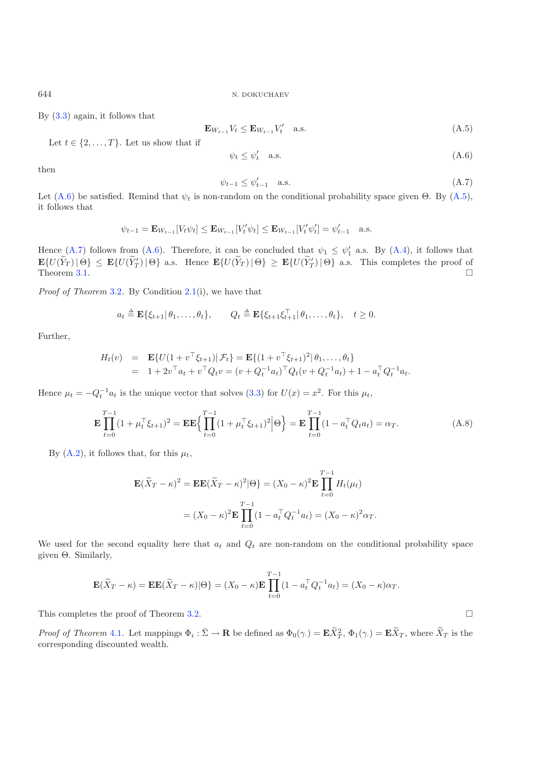<span id="page-9-1"></span>644 N. DOKUCHAEV

By [\(3.3\)](#page-4-3) again, it follows that

<span id="page-9-2"></span><span id="page-9-0"></span>
$$
\mathbf{E}_{W_{t-1}} V_t \le \mathbf{E}_{W_{t-1}} V_t' \quad \text{a.s.} \tag{A.5}
$$

Let  $t \in \{2, \ldots, T\}$ . Let us show that if

$$
\psi_t \le \psi_t' \quad \text{a.s.} \tag{A.6}
$$

then

$$
\psi_{t-1} \le \psi_{t-1}' \quad \text{a.s.} \tag{A.7}
$$

 $\Box$ 

Let [\(A.6\)](#page-9-0) be satisfied. Remind that  $\psi_t$  is non-random on the conditional probability space given Θ. By [\(A.5\)](#page-9-1), it follows that it follows that

$$
\psi_{t-1} = \mathbf{E}_{W_{t-1}}[V_t \psi_t] \le \mathbf{E}_{W_{t-1}}[V'_t \psi_t] \le \mathbf{E}_{W_{t-1}}[V'_t \psi'_t] = \psi'_{t-1}
$$
 a.s.

Hence [\(A.7\)](#page-9-2) follows from [\(A.6\)](#page-9-0). Therefore, it can be concluded that  $\psi_1 \leq \psi'_1$  a.s. By [\(A.4\)](#page-8-0), it follows that  $\mathbf{F}(U(\widetilde{Y}) \setminus \mathbf{Q}) \leq \mathbf{F}(U(\widetilde{Y}) \setminus \mathbf{Q}) \leq \mathbf{F}(U(\widetilde{Y}) \setminus \mathbf{Q}) \leq \mathbf{F}(U(\widetilde{Y}) \setminus \mathbf{Q})$  as T  $\mathbf{E}\{U(Y_T) | \Theta\} \leq \mathbf{E}\{U(Y'_T) | \Theta\}$  a.s. Hence  $\mathbf{E}\{U(Y_T) | \Theta\} \geq \mathbf{E}\{U(Y'_T) | \Theta\}$  a.s. This completes the proof of  $\Box$ Theorem  $3.1$ .  $\Box$ 

*Proof of Theorem* [3.2](#page-5-2)*.* By Condition [2.1\(](#page-2-0)i), we have that

$$
a_t \triangleq \mathbf{E}\{\xi_{t+1}|\theta_1,\ldots,\theta_t\}, \qquad Q_t \triangleq \mathbf{E}\{\xi_{t+1}\xi_{t+1}^\top|\theta_1,\ldots,\theta_t\}, \quad t \geq 0.
$$

Further,

$$
H_t(v) = \mathbf{E}\{U(1+v^\top\xi_{t+1})|\mathcal{F}_t\} = \mathbf{E}\{(1+v^\top\xi_{t+1})^2|\theta_1,\ldots,\theta_t\}
$$
  
=  $1+2v^\top a_t + v^\top Q_t v = (v+Q_t^{-1}a_t)^\top Q_t (v+Q_t^{-1}a_t) + 1 - a_t^\top Q_t^{-1}a_t.$ 

<span id="page-9-3"></span>Hence  $\mu_t = -Q_t^{-1} a_t$  is the unique vector that solves [\(3.3\)](#page-4-3) for  $U(x) = x^2$ . For this  $\mu_t$ ,

$$
\mathbf{E} \prod_{t=0}^{T-1} (1 + \mu_t^{\top} \xi_{t+1})^2 = \mathbf{E} \mathbf{E} \left\{ \prod_{t=0}^{T-1} (1 + \mu_t^{\top} \xi_{t+1})^2 \middle| \Theta \right\} = \mathbf{E} \prod_{t=0}^{T-1} (1 - a_t^{\top} Q_t a_t) = \alpha_T.
$$
 (A.8)

By [\(A.2\)](#page-7-3), it follows that, for this  $\mu_t$ ,

$$
\mathbf{E}(\widetilde{X}_T - \kappa)^2 = \mathbf{E}\mathbf{E}(\widetilde{X}_T - \kappa)^2 |\Theta\rangle = (X_0 - \kappa)^2 \mathbf{E} \prod_{t=0}^{T-1} H_t(\mu_t)
$$
  
=  $(X_0 - \kappa)^2 \mathbf{E} \prod_{t=0}^{T-1} (1 - a_t^{\top} Q_t^{-1} a_t) = (X_0 - \kappa)^2 \alpha_T.$ 

We used for the second equality here that  $a_t$  and  $Q_t$  are non-random on the conditional probability space given Θ. Similarly,

$$
\mathbf{E}(\widetilde{X}_T - \kappa) = \mathbf{E}\mathbf{E}(\widetilde{X}_T - \kappa)|\Theta\} = (X_0 - \kappa)\mathbf{E}\prod_{t=0}^{T-1}(1 - a_t^\top Q_t^{-1}a_t) = (X_0 - \kappa)\alpha_T.
$$

This completes the proof of Theorem [3.2.](#page-5-2)

*Proof of Theorem* [4.1](#page-5-4). Let mappings  $\Phi_i : \overline{\Sigma} \to \mathbf{R}$  be defined as  $\Phi_0(\gamma) = \mathbf{E} \widetilde{X}_T^2$ ,  $\Phi_1(\gamma) = \mathbf{E} \widetilde{X}_T$ , where  $\widetilde{X}_T$  is the corresponding discounted wealth corresponding discounted wealth.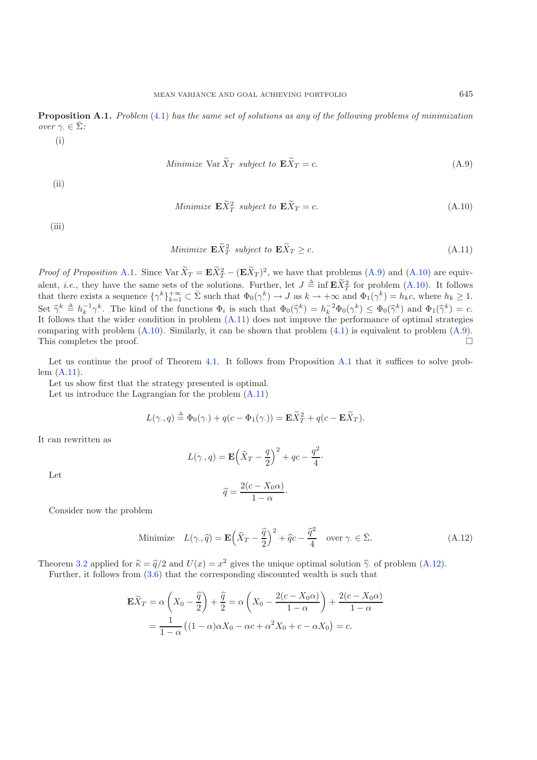<span id="page-10-0"></span>**Proposition A.1.** *Problem* [\(4.1\)](#page-5-3) *has the same set of solutions as any of the following problems of minimization over*  $\gamma$ *.*  $\in \overline{\Sigma}$ *:* 

<span id="page-10-1"></span>
$$
(\mathrm{i})
$$

Minimize Var 
$$
X_T
$$
 subject to  $\mathbf{E} X_T = c$ . (A.9)

<span id="page-10-2"></span>(ii)

Minimize 
$$
\mathbf{E}\widetilde{X}_T^2
$$
 subject to  $\mathbf{E}\widetilde{X}_T = c$ . (A.10)

<span id="page-10-3"></span>(iii)

Minimize 
$$
\mathbf{E}\widetilde{X}_T^2
$$
 subject to  $\mathbf{E}\widetilde{X}_T \geq c$ . (A.11)

*Proof of Proposition* [A.1](#page-10-0). Since  $\text{Var } X_T = \mathbf{E} X_T^2 - (\mathbf{E} X_T^2)$  $(X_T^2 - (E X_T)^2)$ , we have that problems  $(A.9)$  and  $(A.10)$  are equivalent, *i.e.*, they have the same sets of the solutions. Further, let  $J \triangleq \inf_{\mathbf{E}} \mathbf{E} \tilde{X}_T^2$  for problem [\(A.10\)](#page-10-2). It follows<br>that there exists a sequence  $f_0 k_1 + \infty \subset \bar{\Sigma}$  such that  $\Phi_2(e^k) \to J$  as  $k \to +\infty$  and that there exists a sequence  $\{\gamma^k\}_{k=1}^{+\infty} \subset \bar{\Sigma}$  such that  $\Phi_0(\gamma^k) \to J$  as  $k \to +\infty$  and  $\Phi_1(\gamma^k) = h_k c$ , where  $h_k \geq 1$ .  $\operatorname{Set} \ \widehat{\gamma}^k$ <br>It folle Set  $\hat{\gamma}_i^k \triangleq h_k^{-1} \gamma_i^k$ . The kind of the functions  $\Phi_i$  is such that  $\Phi_0(\hat{\gamma}_i^k) = h_k^{-2} \Phi_0(\gamma_i^k) \leq \Phi_0(\hat{\gamma}_i^k)$  and  $\Phi_1(\hat{\gamma}_i^k) = c$ .<br>It follows that the wider condition in problem [\(A.11\)](#page-10-3) does not improve the p comparing with problem  $(A.10)$ . Similarly, it can be shown that problem  $(4.1)$  is equivalent to problem  $(A.9)$ . This completes the proof.  $\Box$ 

Let us continue the proof of Theorem [4.1.](#page-5-4) It follows from Proposition [A.1](#page-10-0) that it suffices to solve problem [\(A.11\)](#page-10-3).

Let us show first that the strategy presented is optimal.

<span id="page-10-4"></span>Let us introduce the Lagrangian for the problem [\(A.11\)](#page-10-3)

$$
L(\gamma, q) \triangleq \Phi_0(\gamma) + q(c - \Phi_1(\gamma)) = \mathbf{E}\widetilde{X}_T^2 + q(c - \mathbf{E}\widetilde{X}_T).
$$

It can rewritten as

$$
L(\gamma, q) = \mathbf{E} \left( \widetilde{X}_T - \frac{q}{2} \right)^2 + qc - \frac{q^2}{4} \cdot
$$

Let

$$
\widehat{q} = \frac{2(c - X_0 \alpha)}{1 - \alpha}.
$$

Consider now the problem

Minimize 
$$
L(\gamma, \hat{q}) = \mathbf{E} \left( \tilde{X}_T - \frac{\hat{q}}{2} \right)^2 + \hat{q}c - \frac{\hat{q}^2}{4}
$$
 over  $\gamma \in \bar{\Sigma}$ . (A.12)

Theorem [3.2](#page-5-2) applied for  $\hat{\kappa} = \hat{q}/2$  and  $U(x) = x^2$  gives the unique optimal solution  $\hat{\gamma}$  of problem [\(A.12\)](#page-10-4).

Further, it follows from [\(3.6\)](#page-5-6) that the corresponding discounted wealth is such that

$$
\mathbf{E}\widetilde{X}_T = \alpha \left(X_0 - \frac{\widehat{q}}{2}\right) + \frac{\widehat{q}}{2} = \alpha \left(X_0 - \frac{2(c - X_0\alpha)}{1 - \alpha}\right) + \frac{2(c - X_0\alpha)}{1 - \alpha}
$$

$$
= \frac{1}{1 - \alpha} \left((1 - \alpha)\alpha X_0 - \alpha c + \alpha^2 X_0 + c - \alpha X_0\right) = c.
$$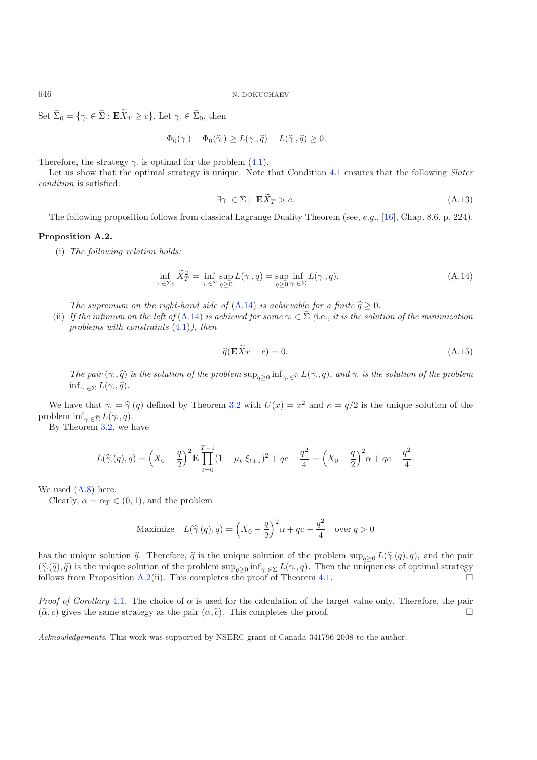Set  $\bar{\Sigma}_0 = \{ \gamma \in \bar{\Sigma} : \mathbf{E}\widetilde{X}_T \ge c \}$ . Let  $\gamma \in \bar{\Sigma}_0$ , then

$$
\Phi_0(\gamma.) - \Phi_0(\widehat{\gamma.}) \ge L(\gamma., \widehat{q}) - L(\widehat{\gamma}, \widehat{q}) \ge 0.
$$

Therefore, the strategy  $\gamma$  is optimal for the problem [\(4.1\)](#page-5-3).

Let us show that the optimal strategy is unique. Note that Condition [4.1](#page-5-7) ensures that the following *Slater condition* is satisfied:

$$
\exists \gamma \in \bar{\Sigma}: \mathbf{E}\widetilde{X}_T > c. \tag{A.13}
$$

The following proposition follows from classical Lagrange Duality Theorem (see, e.g., [\[16\]](#page-12-20), Chap. 8.6, p. 224).

## <span id="page-11-1"></span>**Proposition A.2.**

(i) *The following relation holds:*

$$
\inf_{\gamma \in \bar{\Sigma}_0} \tilde{X}_T^2 = \inf_{\gamma \in \bar{\Sigma}} \sup_{q \ge 0} L(\gamma, q) = \sup_{q \ge 0} \inf_{\gamma \in \bar{\Sigma}} L(\gamma, q). \tag{A.14}
$$

<span id="page-11-0"></span>*The supremum on the right-hand side of*  $(A.14)$  *is achievable for a finite*  $\hat{q} \geq 0$ *.* 

(ii) *If the infimum on the left of*  $(A.14)$  *is achieved for some*  $\gamma \in \Sigma$  (i.e., *it is the solution of the minimization problems with constraints* [\(4.1\)](#page-5-3)*), then*

$$
\widehat{q}(\mathbf{E}\widetilde{X}_T - c) = 0. \tag{A.15}
$$

*The pair*  $(\gamma, \hat{q})$  *is the solution of the problem*  $\sup_{q\geq 0} \inf_{\gamma \in \bar{\Sigma}} L(\gamma, q)$ *, and*  $\gamma$  *is the solution of the problem*  $\inf_{\gamma \in \overline{\Sigma}} L(\gamma, \widehat{q}).$ 

We have that  $\gamma = \hat{\gamma}(q)$  defined by Theorem [3.2](#page-5-2) with  $U(x) = x^2$  and  $\kappa = q/2$  is the unique solution of the problem inf<sub> $\gamma \in \bar{\Sigma} L(\gamma, q)$ .</sub>

By Theorem [3.2,](#page-5-2) we have

$$
L(\widehat{\gamma}(q), q) = \left(X_0 - \frac{q}{2}\right)^2 \mathbf{E} \prod_{t=0}^{T-1} (1 + \mu_t^{\top} \xi_{t+1})^2 + qc - \frac{q^2}{4} = \left(X_0 - \frac{q}{2}\right)^2 \alpha + qc - \frac{q^2}{4}.
$$

#### We used  $(A.8)$  here.

Clearly,  $\alpha = \alpha_T \in (0, 1)$ , and the problem

Maximize 
$$
L(\widehat{\gamma}(q), q) = \left(X_0 - \frac{q}{2}\right)^2 \alpha + qc - \frac{q^2}{4}
$$
 over  $q > 0$ 

has the unique solution  $\hat{q}$ . Therefore,  $\hat{q}$  is the unique solution of the problem sup<sub>q≥0</sub>  $L(\hat{\gamma}(q), q)$ , and the pair  $(\widehat{\gamma}, (\widehat{q}), \widehat{q})$  is the unique solution of the problem sup<sub>q>0</sub> inf<sub>γ·∈Σ</sub>  $L(\gamma, q)$ . Then the uniqueness of optimal strategy follows from Proposition [A.2\(](#page-11-1)ii). This completes the proof of Theorem [4.1.](#page-5-4)

*Proof of Corollary* [4.1](#page-6-0). The choice of  $\alpha$  is used for the calculation of the target value only. Therefore, the pair  $(\tilde{\alpha}, c)$  gives the same strategy as the pair  $(\alpha, \tilde{c})$ . This completes the proof.  $(\tilde{\alpha}, c)$  gives the same strategy as the pair  $(\alpha, \tilde{c})$ . This completes the proof.  $\Box$ 

*Acknowledgements*. This work was supported by NSERC grant of Canada 341796-2008 to the author.